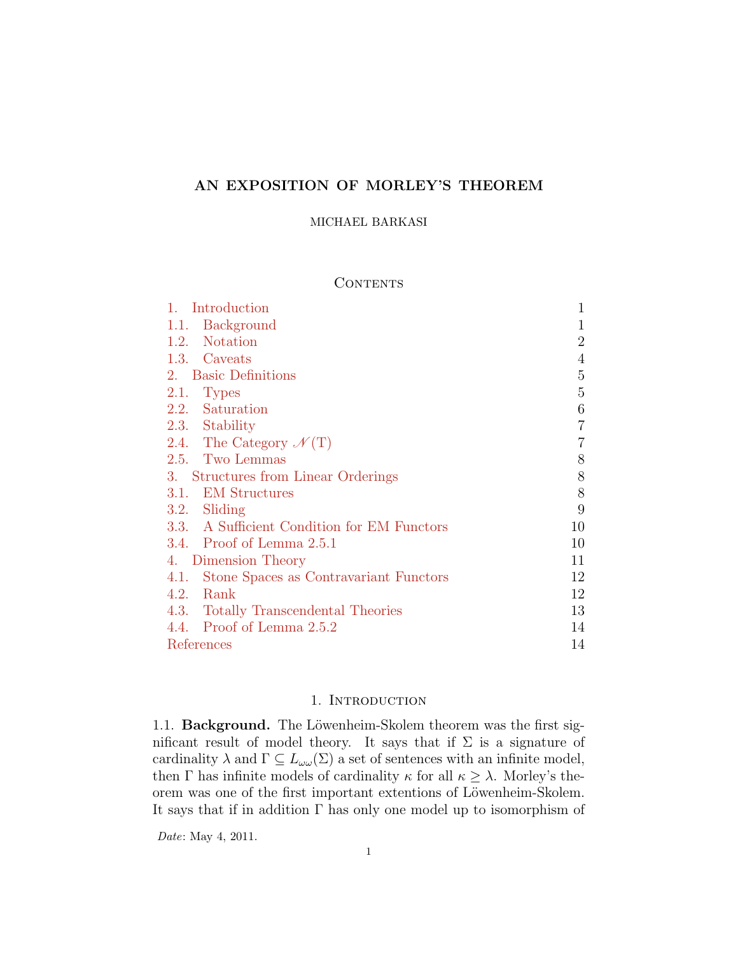# **AN EXPOSITION OF MORLEY'S THEOREM**

### MICHAEL BARKASI

### **CONTENTS**

| Introduction                                | 1              |
|---------------------------------------------|----------------|
| 1.1. Background                             | $\mathbf 1$    |
| 1.2. Notation                               | $\overline{2}$ |
| 1.3. Caveats                                | $\overline{4}$ |
| 2. Basic Definitions                        | 5              |
| 2.1. Types                                  | $\overline{5}$ |
| 2.2. Saturation                             | 6              |
| 2.3. Stability                              | $\overline{7}$ |
| 2.4. The Category $\mathcal{N}(T)$          | 7              |
| 2.5. Two Lemmas                             | 8              |
| 3. Structures from Linear Orderings         | $8\,$          |
| 3.1. EM Structures                          | $8\,$          |
| 3.2. Sliding                                | 9              |
| 3.3. A Sufficient Condition for EM Functors | 10             |
| 3.4. Proof of Lemma $2.5.1$                 | 10             |
| 4. Dimension Theory                         | 11             |
| 4.1. Stone Spaces as Contravariant Functors | 12             |
| 4.2.<br>Rank                                | 12             |
| 4.3. Totally Transcendental Theories        | 13             |
| 4.4. Proof of Lemma 2.5.2                   | 14             |
| References                                  | 14             |

## 1. INTRODUCTION

<span id="page-0-1"></span><span id="page-0-0"></span>1.1. **Background.** The Löwenheim-Skolem theorem was the first significant result of model theory. It says that if  $\Sigma$  is a signature of cardinality  $\lambda$  and  $\Gamma \subseteq L_{\omega \omega}(\Sigma)$  a set of sentences with an infinite model, then  $\Gamma$  has infinite models of cardinality  $\kappa$  for all  $\kappa \geq \lambda$ . Morley's theorem was one of the first important extentions of Löwenheim-Skolem. It says that if in addition Γ has only one model up to isomorphism of

*Date*: May 4, 2011.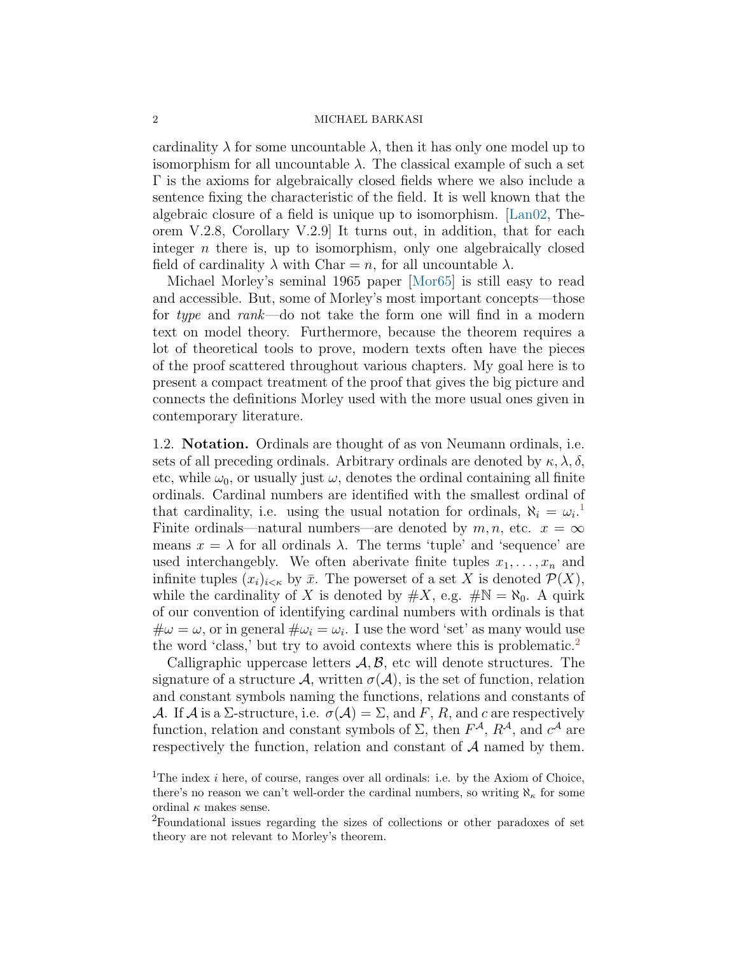cardinality  $\lambda$  for some uncountable  $\lambda$ , then it has only one model up to isomorphism for all uncountable  $\lambda$ . The classical example of such a set Γ is the axioms for algebraically closed fields where we also include a sentence fixing the characteristic of the field. It is well known that the algebraic closure of a field is unique up to isomorphism.[[Lan02,](#page-14-0) Theorem V.2.8, Corollary V.2.9] It turns out, in addition, that for each integer *n* there is, up to isomorphism, only one algebraically closed field of cardinality  $\lambda$  with Char = *n*, for all uncountable  $\lambda$ .

Michael Morley's seminal 1965 paper[[Mor65\]](#page-14-1) is still easy to read and accessible. But, some of Morley's most important concepts—those for *type* and *rank*—do not take the form one will find in a modern text on model theory. Furthermore, because the theorem requires a lot of theoretical tools to prove, modern texts often have the pieces of the proof scattered throughout various chapters. My goal here is to present a compact treatment of the proof that gives the big picture and connects the definitions Morley used with the more usual ones given in contemporary literature.

<span id="page-1-0"></span>1.2. **Notation.** Ordinals are thought of as von Neumann ordinals, i.e. sets of all preceding ordinals. Arbitrary ordinals are denoted by  $\kappa, \lambda, \delta$ , etc, while  $\omega_0$ , or usually just  $\omega$ , denotes the ordinal containing all finite ordinals. Cardinal numbers are identified with the smallest ordinal of that cardinality, i.e. using the usual notation for ordinals,  $\aleph_i = \omega_i$ <sup>[1](#page-1-1)</sup> Finite ordinals—natural numbers—are denoted by  $m, n$ , etc.  $x = \infty$ means  $x = \lambda$  for all ordinals  $\lambda$ . The terms 'tuple' and 'sequence' are used interchangebly. We often aberivate finite tuples  $x_1, \ldots, x_n$  and infinite tuples  $(x_i)_{i \leq \kappa}$  by  $\bar{x}$ . The powerset of a set X is denoted  $\mathcal{P}(X)$ , while the cardinality of *X* is denoted by  $\#X$ , e.g.  $\#N = \aleph_0$ . A quirk of our convention of identifying cardinal numbers with ordinals is that  $\#\omega = \omega$ , or in general  $\#\omega_i = \omega_i$ . I use the word 'set' as many would use the word 'class,' but try to avoid contexts where this is problematic.<sup>[2](#page-1-2)</sup>

Calligraphic uppercase letters *A, B,* etc will denote structures. The signature of a structure  $\mathcal{A}$ , written  $\sigma(\mathcal{A})$ , is the set of function, relation and constant symbols naming the functions, relations and constants of *A*. If *A* is a  $\Sigma$ -structure, i.e.  $\sigma(A) = \Sigma$ , and *F*, *R*, and *c* are respectively function, relation and constant symbols of  $\Sigma$ , then  $F^{\mathcal{A}}, R^{\mathcal{A}},$  and  $c^{\mathcal{A}}$  are respectively the function, relation and constant of *A* named by them.

<span id="page-1-1"></span><sup>&</sup>lt;sup>1</sup>The index  $i$  here, of course, ranges over all ordinals: i.e. by the Axiom of Choice, there's no reason we can't well-order the cardinal numbers, so writing  $\aleph_{\kappa}$  for some ordinal  $\kappa$  makes sense.

<span id="page-1-2"></span><sup>2</sup>Foundational issues regarding the sizes of collections or other paradoxes of set theory are not relevant to Morley's theorem.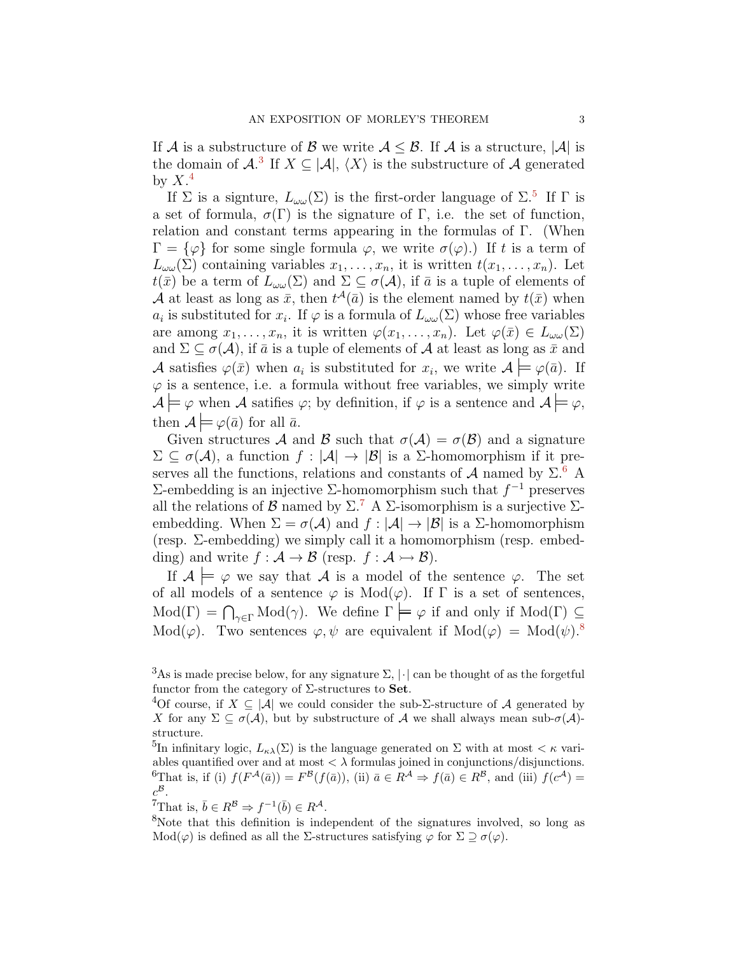If *A* is a substructure of *B* we write  $A \leq B$ . If *A* is a structure,  $|A|$  is the domain of  $\mathcal{A}$ <sup>[3](#page-2-0)</sup> If  $X \subseteq |\mathcal{A}|$ ,  $\langle X \rangle$  is the substructure of  $\mathcal{A}$  generated by  $X^4$  $X^4$ 

If  $\Sigma$  is a signture,  $L_{\omega\omega}(\Sigma)$  is the first-order language of  $\Sigma$ <sup>[5](#page-2-2)</sup> If  $\Gamma$  is a set of formula,  $\sigma(\Gamma)$  is the signature of  $\Gamma$ , i.e. the set of function, relation and constant terms appearing in the formulas of Γ. (When  $\Gamma = {\varphi}$  for some single formula  $\varphi$ , we write  $\sigma(\varphi)$ .) If t is a term of  $L_{\omega\omega}(\Sigma)$  containing variables  $x_1, \ldots, x_n$ , it is written  $t(x_1, \ldots, x_n)$ . Let  $t(\bar{x})$  be a term of  $L_{\omega\omega}(\Sigma)$  and  $\Sigma \subseteq \sigma(\mathcal{A})$ , if  $\bar{a}$  is a tuple of elements of *A* at least as long as  $\bar{x}$ , then  $t^{\mathcal{A}}(\bar{a})$  is the element named by  $t(\bar{x})$  when *a*<sup>*i*</sup> is substituted for *x*<sup>*i*</sup>. If  $\varphi$  is a formula of  $L_{\omega \omega}(\Sigma)$  whose free variables are among  $x_1, \ldots, x_n$ , it is written  $\varphi(x_1, \ldots, x_n)$ . Let  $\varphi(\bar{x}) \in L_{\omega \omega}(\Sigma)$ and  $\Sigma \subseteq \sigma(\mathcal{A})$ , if  $\bar{a}$  is a tuple of elements of  $\mathcal{A}$  at least as long as  $\bar{x}$  and *A* satisfies  $\varphi(\bar{x})$  when  $a_i$  is substituted for  $x_i$ , we write  $\mathcal{A} \models \varphi(\bar{a})$ . If  $\varphi$  is a sentence, i.e. a formula without free variables, we simply write  $\mathcal{A} \models \varphi$  when *A* satifies  $\varphi$ ; by definition, if  $\varphi$  is a sentence and  $\mathcal{A} \models \varphi$ , then  $A \models \varphi(\bar{a})$  for all  $\bar{a}$ .

Given structures *A* and *B* such that  $\sigma(A) = \sigma(B)$  and a signature  $Σ ⊆ σ(A)$ , a function  $f : |A| → |B|$  is a Σ-homomorphism if it preserves all the functions, relations and constants of  $A$  named by  $\Sigma$ .<sup>[6](#page-2-3)</sup> A Σ-embedding is an injective Σ-homomorphism such that *f <sup>−</sup>*<sup>1</sup> preserves all the relations of *B* named by  $\Sigma$ .<sup>[7](#page-2-4)</sup> A  $\Sigma$ -isomorphism is a surjective  $\Sigma$ embedding. When  $\Sigma = \sigma(\mathcal{A})$  and  $f : |\mathcal{A}| \to |\mathcal{B}|$  is a  $\Sigma$ -homomorphism (resp. Σ-embedding) we simply call it a homomorphism (resp. embedding) and write  $f : \mathcal{A} \to \mathcal{B}$  (resp.  $f : \mathcal{A} \to \mathcal{B}$ ).

If  $A \models \varphi$  we say that *A* is a model of the sentence  $\varphi$ . The set of all models of a sentence  $\varphi$  is  $Mod(\varphi)$ . If  $\Gamma$  is a set of sentences,  $Mod(\Gamma) = \bigcap_{\gamma \in \Gamma} Mod(\gamma)$ . We define  $\Gamma \models \varphi$  if and only if  $Mod(\Gamma) \subseteq$ Mod( $\varphi$ ). Two sentences  $\varphi, \psi$  are equivalent if Mod( $\varphi$ ) = Mod( $\psi$ ).<sup>[8](#page-2-5)</sup>

<span id="page-2-4"></span> ${}^{7}$ That is,  $\bar{b} \in R^{\mathcal{B}} \Rightarrow f^{-1}(\bar{b}) \in R^{\mathcal{A}}$ .

<span id="page-2-5"></span><sup>8</sup>Note that this definition is independent of the signatures involved, so long as Mod(*φ*) is defined as all the Σ-structures satisfying *φ* for  $\Sigma \supseteq \sigma(\varphi)$ .

<span id="page-2-0"></span><sup>&</sup>lt;sup>3</sup>As is made precise below, for any signature  $\Sigma$ ,  $|\cdot|$  can be thought of as the forgetful functor from the category of Σ-structures to **Set**.

<span id="page-2-1"></span><sup>&</sup>lt;sup>4</sup>Of course, if  $X \subseteq |\mathcal{A}|$  we could consider the sub- $\Sigma$ -structure of  $\mathcal A$  generated by *X* for any  $\Sigma \subseteq \sigma(\mathcal{A})$ , but by substructure of  $\mathcal{A}$  we shall always mean sub- $\sigma(\mathcal{A})$ structure.

<span id="page-2-3"></span><span id="page-2-2"></span><sup>&</sup>lt;sup>5</sup>In infinitary logic,  $L_{\kappa\lambda}(\Sigma)$  is the language generated on  $\Sigma$  with at most  $\lt \kappa$  variables quantified over and at most  $\langle \lambda \rangle$  formulas joined in conjunctions/disjunctions. <sup>6</sup>That is, if (i)  $f(F^{\mathcal{A}}(\bar{a})) = F^{\mathcal{B}}(f(\bar{a}))$ , (ii)  $\bar{a} \in R^{\mathcal{A}} \Rightarrow f(\bar{a}) \in R^{\mathcal{B}}$ , and (iii)  $f(c^{\mathcal{A}}) =$  $c^{\mathcal{B}}$ .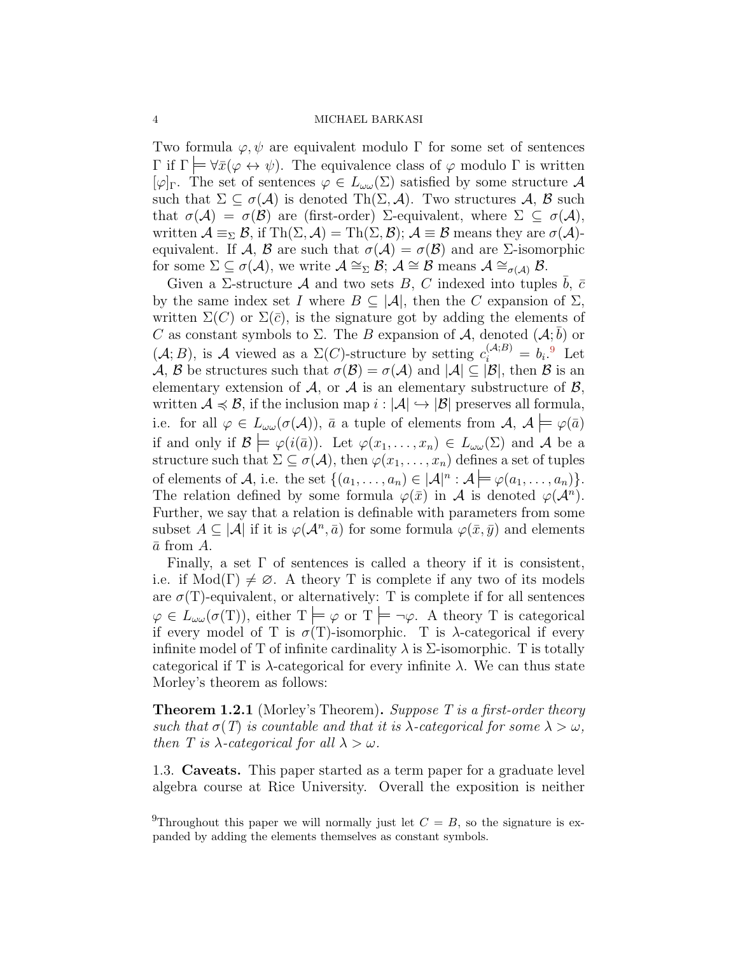Two formula  $\varphi, \psi$  are equivalent modulo  $\Gamma$  for some set of sentences  $Γ$  if  $Γ$   $\vdash$   $\forall \bar{x}$ ( $\varphi \leftrightarrow \psi$ ). The equivalence class of  $\varphi$  modulo Γ is written  $[\varphi]_{\Gamma}$ . The set of sentences  $\varphi \in L_{\omega}(\Sigma)$  satisfied by some structure A such that  $\Sigma \subset \sigma(\mathcal{A})$  is denoted Th $(\Sigma, \mathcal{A})$ . Two structures  $\mathcal{A}, \mathcal{B}$  such that  $\sigma(\mathcal{A}) = \sigma(\mathcal{B})$  are (first-order)  $\Sigma$ -equivalent, where  $\Sigma \subseteq \sigma(\mathcal{A})$ , written  $\mathcal{A} \equiv_{\Sigma} \mathcal{B}$ , if Th $(\Sigma, \mathcal{A}) = \text{Th}(\Sigma, \mathcal{B})$ ;  $\mathcal{A} \equiv \mathcal{B}$  means they are  $\sigma(\mathcal{A})$ equivalent. If *A*, *B* are such that  $\sigma(A) = \sigma(B)$  and are *Σ*-isomorphic for some  $\Sigma \subseteq \sigma(\mathcal{A})$ , we write  $\mathcal{A} \cong_{\Sigma} \mathcal{B}$ ;  $\mathcal{A} \cong \mathcal{B}$  means  $\mathcal{A} \cong_{\sigma(\mathcal{A})} \mathcal{B}$ .

Given a  $\Sigma$ -structure  $\mathcal A$  and two sets  $B, C$  indexed into tuples  $b, \bar c$ by the same index set *I* where  $B \subseteq |A|$ , then the *C* expansion of  $\Sigma$ , written  $\Sigma(C)$  or  $\Sigma(\bar{c})$ , is the signature got by adding the elements of *C* as constant symbols to Σ. The *B* expansion of *A*, denoted  $(A; \bar{b})$  or  $(A; B)$ , is A viewed as a  $\Sigma(C)$ -structure by setting  $c_i^{(A;B)} = b_i$ .<sup>[9](#page-3-1)</sup> Let *A*, *B* be structures such that  $\sigma(\mathcal{B}) = \sigma(\mathcal{A})$  and  $|\mathcal{A}| \subset |\mathcal{B}|$ , then *B* is an elementary extension of  $A$ , or  $A$  is an elementary substructure of  $B$ , written  $A \preccurlyeq B$ , if the inclusion map  $i : |A| \hookrightarrow |B|$  preserves all formula, i.e. for all  $\varphi \in L_{\omega \omega}(\sigma(\mathcal{A}))$ ,  $\bar{a}$  a tuple of elements from  $\mathcal{A}, \mathcal{A} \models \varphi(\bar{a})$ if and only if  $\mathcal{B} \models \varphi(i(\bar{a}))$ . Let  $\varphi(x_1, \ldots, x_n) \in L_{\omega}(\Sigma)$  and A be a structure such that  $\Sigma \subseteq \sigma(\mathcal{A})$ , then  $\varphi(x_1, \ldots, x_n)$  defines a set of tuples of elements of *A*, i.e. the set  $\{(a_1, \ldots, a_n) \in |A|^n : A \models \varphi(a_1, \ldots, a_n)\}.$ The relation defined by some formula  $\varphi(\bar{x})$  in *A* is denoted  $\varphi(\mathcal{A}^n)$ . Further, we say that a relation is definable with parameters from some subset  $A \subseteq |A|$  if it is  $\varphi(A^n, \bar{a})$  for some formula  $\varphi(\bar{x}, \bar{y})$  and elements  $\bar{a}$  from  $\bar{A}$ .

Finally, a set  $\Gamma$  of sentences is called a theory if it is consistent, i.e. if  $Mod(\Gamma) \neq \emptyset$ . A theory T is complete if any two of its models are  $\sigma(T)$ -equivalent, or alternatively: T is complete if for all sentences  $\varphi \in L_{\omega}(\sigma(T))$ , either  $T \models \varphi$  or  $T \models \neg \varphi$ . A theory T is categorical if every model of T is  $\sigma(T)$ -isomorphic. T is  $\lambda$ -categorical if every infinite model of T of infinite cardinality  $\lambda$  is  $\Sigma$ -isomorphic. T is totally categorical if T is  $\lambda$ -categorical for every infinite  $\lambda$ . We can thus state Morley's theorem as follows:

**Theorem 1.2.1** (Morley's Theorem)**.** *Suppose T is a first-order theory such that*  $\sigma(T)$  *is countable and that it is*  $\lambda$ -*categorical for some*  $\lambda > \omega$ *, then T is*  $\lambda$ -*categorical for all*  $\lambda > \omega$ *.* 

<span id="page-3-0"></span>1.3. **Caveats.** This paper started as a term paper for a graduate level algebra course at Rice University. Overall the exposition is neither

<span id="page-3-1"></span><sup>&</sup>lt;sup>9</sup>Throughout this paper we will normally just let  $C = B$ , so the signature is expanded by adding the elements themselves as constant symbols.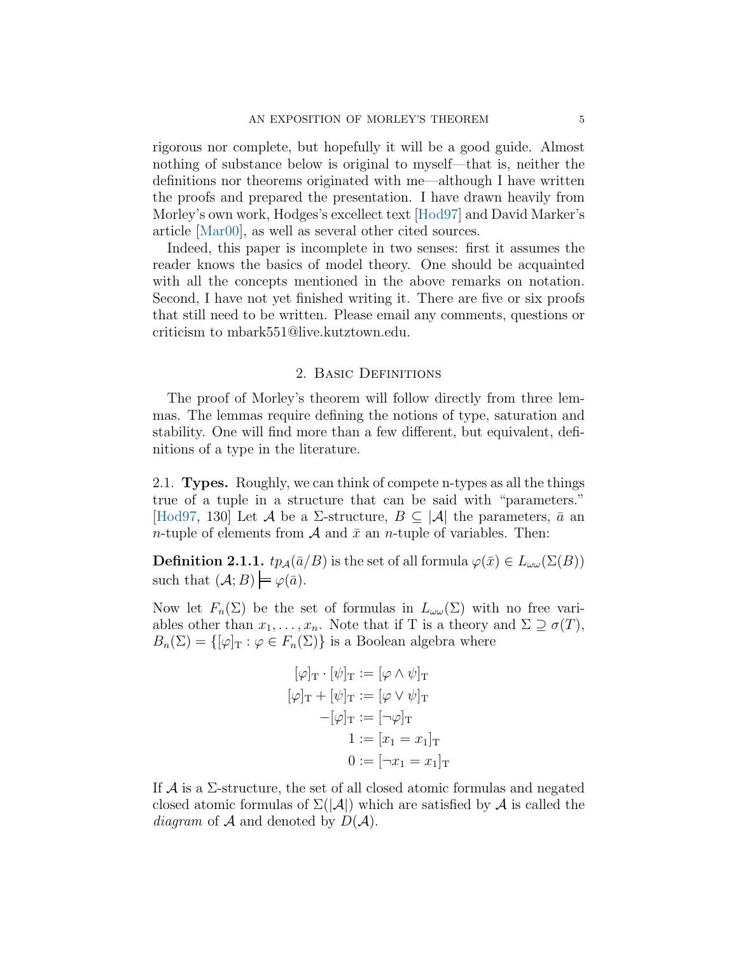rigorous nor complete, but hopefully it will be a good guide. Almost nothing of substance below is original to myself—that is, neither the definitions nor theorems originated with me—although I have written the proofs and prepared the presentation. I have drawn heavily from Morley's own work, Hodges's excellect text[[Hod97](#page-14-2)] and David Marker's article[[Mar00\]](#page-14-3), as well as several other cited sources.

Indeed, this paper is incomplete in two senses: first it assumes the reader knows the basics of model theory. One should be acquainted with all the concepts mentioned in the above remarks on notation. Second, I have not yet finished writing it. There are five or six proofs that still need to be written. Please email any comments, questions or criticism to mbark551@live.kutztown.edu.

### 2. Basic Definitions

<span id="page-4-0"></span>The proof of Morley's theorem will follow directly from three lemmas. The lemmas require defining the notions of type, saturation and stability. One will find more than a few different, but equivalent, definitions of a type in the literature.

<span id="page-4-1"></span>2.1. **Types.** Roughly, we can think of compete n-types as all the things true of a tuple in a structure that can be said with "parameters." [[Hod97](#page-14-2), 130] Let *A* be a  $\Sigma$ -structure,  $B \subseteq |A|$  the parameters,  $\bar{a}$  and *n*-tuple of elements from  $\mathcal A$  and  $\bar x$  an *n*-tuple of variables. Then:

<span id="page-4-2"></span>**Definition 2.1.1.**  $tp_{\mathcal{A}}(\bar{a}/B)$  is the set of all formula  $\varphi(\bar{x}) \in L_{\omega}(\Sigma(B))$ such that  $(A;B) \models \varphi(\bar{a})$ .

Now let  $F_n(\Sigma)$  be the set of formulas in  $L_{\omega\omega}(\Sigma)$  with no free variables other than  $x_1, \ldots, x_n$ . Note that if T is a theory and  $\Sigma \supseteq \sigma(T)$ ,  $B_n(\Sigma) = \{ [\varphi]_T : \varphi \in F_n(\Sigma) \}$  is a Boolean algebra where

$$
[\varphi]_T \cdot [\psi]_T := [\varphi \wedge \psi]_T
$$

$$
[\varphi]_T + [\psi]_T := [\varphi \vee \psi]_T
$$

$$
-[\varphi]_T := [\neg \varphi]_T
$$

$$
1 := [x_1 = x_1]_T
$$

$$
0 := [\neg x_1 = x_1]_T
$$

If  $\mathcal A$  is a  $\Sigma$ -structure, the set of all closed atomic formulas and negated closed atomic formulas of  $\Sigma(|A|)$  which are satisfied by A is called the *diagram* of  $A$  and denoted by  $D(A)$ .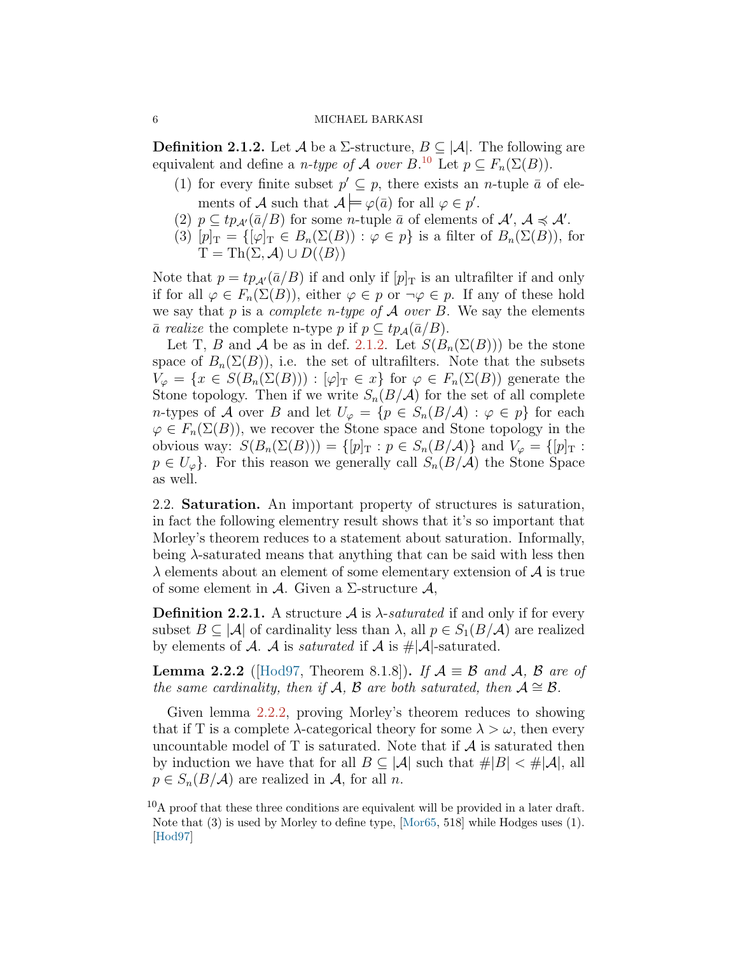<span id="page-5-2"></span>**Definition 2.1.2.** Let *A* be a  $\Sigma$ -structure,  $B \subseteq |A|$ . The following are equivalent and define a *n-type of A over*  $B^{10}$  $B^{10}$  $B^{10}$  Let  $p \subseteq F_n(\Sigma(B))$ .

- (1) for every finite subset  $p' \subseteq p$ , there exists an *n*-tuple  $\bar{a}$  of elements of *A* such that  $A \models \varphi(\bar{a})$  for all  $\varphi \in p'$ .
- (2)  $p \subseteq tp_{\mathcal{A}'}(\overline{a}/B)$  for some *n*-tuple  $\overline{a}$  of elements of  $\mathcal{A}', \mathcal{A} \preccurlyeq \mathcal{A}'$ .
- (3)  $[p]_T = \{ [\varphi]_T \in B_n(\Sigma(B)) : \varphi \in p \}$  is a filter of  $B_n(\Sigma(B))$ , for  $T = Th(\Sigma, \mathcal{A}) \cup D(\langle B \rangle)$

Note that  $p = tp_{\mathcal{A}'}(\bar{a}/B)$  if and only if  $[p]_T$  is an ultrafilter if and only if for all  $\varphi \in F_n(\Sigma(B))$ , either  $\varphi \in p$  or  $\neg \varphi \in p$ . If any of these hold we say that  $p$  is a *complete n-type of*  $A$  *over*  $B$ . We say the elements  $\bar{a}$  *realize* the complete n-type *p* if *p* ⊆ *tp*<sub>*A*</sub>( $\bar{a}/B$ ).

Let T, *B* and *A* be as in def. [2.1.2.](#page-5-2) Let  $S(B_n(\Sigma(B)))$  be the stone space of  $B_n(\Sigma(B))$ , i.e. the set of ultrafilters. Note that the subsets  $V_{\varphi} = \{x \in S(B_n(\Sigma(B))) : [\varphi]_T \in x\}$  for  $\varphi \in F_n(\Sigma(B))$  generate the Stone topology. Then if we write  $S_n(B/\mathcal{A})$  for the set of all complete *n*-types of *A* over *B* and let  $U_{\varphi} = \{p \in S_n(B/A) : \varphi \in p\}$  for each  $\varphi \in F_n(\Sigma(B))$ , we recover the Stone space and Stone topology in the obvious way:  $S(B_n(\Sigma(B))) = \{ [p]_T : p \in S_n(B/A) \}$  and  $V_\varphi = \{ [p]_T : p \in S_n(B/A) \}$  $p \in U_{\varphi}$ . For this reason we generally call  $S_n(B/\mathcal{A})$  the Stone Space as well.

<span id="page-5-0"></span>2.2. **Saturation.** An important property of structures is saturation, in fact the following elementry result shows that it's so important that Morley's theorem reduces to a statement about saturation. Informally, being *λ*-saturated means that anything that can be said with less then *λ* elements about an element of some elementary extension of *A* is true of some element in *A*. Given a Σ-structure *A*,

**Definition 2.2.1.** A structure  $\mathcal A$  is  $\lambda$ -*saturated* if and only if for every subset  $B \subseteq |A|$  of cardinality less than  $\lambda$ , all  $p \in S_1(B/A)$  are realized by elements of  $\mathcal A$ .  $\mathcal A$  is *saturated* if  $\mathcal A$  is  $\#\mathcal A$ -saturated.

**Lemma 2.2.2** ([[Hod97,](#page-14-2) Theorem 8.1.8]). *If*  $A \equiv \mathcal{B}$  *and*  $A$ *,*  $B$  *are of the same cardinality, then if*  $\mathcal{A}, \mathcal{B}$  *are both saturated, then*  $\mathcal{A} \cong \mathcal{B}$ *.* 

Given lemma [2.2.2](#page-5-2), proving Morley's theorem reduces to showing that if T is a complete  $\lambda$ -categorical theory for some  $\lambda > \omega$ , then every uncountable model of  $T$  is saturated. Note that if  $A$  is saturated then by induction we have that for all  $B \subseteq |\mathcal{A}|$  such that  $\#|B| < \#|\mathcal{A}|$ , all  $p \in S_n(B/\mathcal{A})$  are realized in  $\mathcal{A}$ , for all *n*.

<span id="page-5-1"></span> $10A$  proof that these three conditions are equivalent will be provided in a later draft. Note that (3) is used by Morley to define type, [\[Mor65](#page-14-1), 518] while Hodges uses (1). [\[Hod97\]](#page-14-2)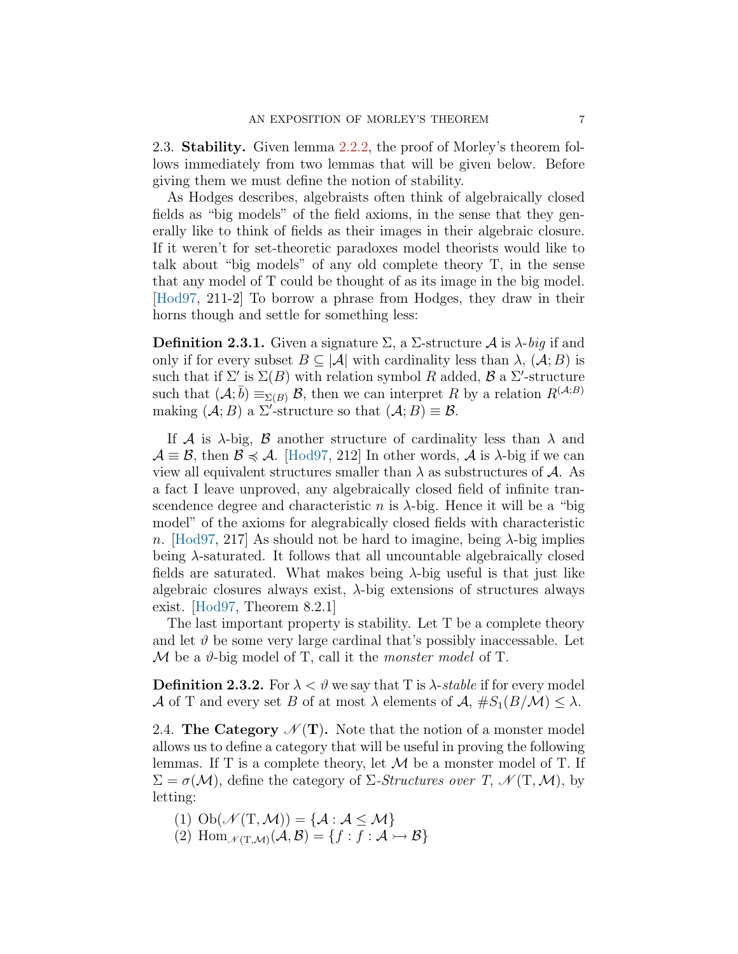<span id="page-6-0"></span>2.3. **Stability.** Given lemma [2.2.2,](#page-5-2) the proof of Morley's theorem follows immediately from two lemmas that will be given below. Before giving them we must define the notion of stability.

As Hodges describes, algebraists often think of algebraically closed fields as "big models" of the field axioms, in the sense that they generally like to think of fields as their images in their algebraic closure. If it weren't for set-theoretic paradoxes model theorists would like to talk about "big models" of any old complete theory T, in the sense that any model of T could be thought of as its image in the big model. [[Hod97](#page-14-2), 211-2] To borrow a phrase from Hodges, they draw in their horns though and settle for something less:

**Definition 2.3.1.** Given a signature  $\Sigma$ , a  $\Sigma$ -structure *A* is  $\lambda$ -*big* if and only if for every subset  $B \subseteq |\mathcal{A}|$  with cardinality less than  $\lambda$ ,  $(\mathcal{A}; B)$  is such that if  $\Sigma'$  is  $\Sigma(B)$  with relation symbol *R* added, *B* a  $\Sigma'$ -structure such that  $(A; \bar{b}) \equiv_{\Sigma(B)} B$ , then we can interpret *R* by a relation  $R^{(A;B)}$ making  $(A; B)$  a  $\Sigma'$ -structure so that  $(A; B) \equiv \mathcal{B}$ .

If *A* is  $\lambda$ -big, *B* another structure of cardinality less than  $\lambda$  and  $\mathcal{A} \equiv \mathcal{B}$ , then  $\mathcal{B} \preccurlyeq \mathcal{A}$ . [\[Hod97](#page-14-2), 212] In other words,  $\mathcal{A}$  is  $\lambda$ -big if we can view all equivalent structures smaller than  $\lambda$  as substructures of  $\mathcal{A}$ . As a fact I leave unproved, any algebraically closed field of infinite transcendence degree and characteristic *n* is  $\lambda$ -big. Hence it will be a "big" model" of the axioms for alegrabically closed fields with characteristic *n*. [\[Hod97](#page-14-2), 217] As should not be hard to imagine, being *λ*-big implies being *λ*-saturated. It follows that all uncountable algebraically closed fields are saturated. What makes being *λ*-big useful is that just like algebraic closures always exist, *λ*-big extensions of structures always exist. [\[Hod97](#page-14-2), Theorem 8.2.1]

The last important property is stability. Let T be a complete theory and let  $\vartheta$  be some very large cardinal that's possibly inaccessable. Let *M* be a *ϑ*-big model of T, call it the *monster model* of T.

**Definition 2.3.2.** For  $\lambda < \vartheta$  we say that T is  $\lambda$ -*stable* if for every model *A* of T and every set *B* of at most  $\lambda$  elements of  $A$ ,  $\#S_1(B/M) \leq \lambda$ .

<span id="page-6-1"></span>2.4. **The Category**  $\mathcal{N}(\mathbf{T})$ . Note that the notion of a monster model allows us to define a category that will be useful in proving the following lemmas. If T is a complete theory, let *M* be a monster model of T. If  $\Sigma = \sigma(\mathcal{M})$ , define the category of Σ*-Structures over T*,  $\mathcal{N}(T, \mathcal{M})$ , by letting:

- (1)  $\mathrm{Ob}(\mathcal{N}(\mathrm{T},\mathcal{M})) = \{ \mathcal{A} : \mathcal{A} \leq \mathcal{M} \}$
- $(2)$  Hom<sub>*N*(T,*M*)</sub>( $\mathcal{A}, \mathcal{B}$ ) = { $f : \overline{f} : \mathcal{A} \rightarrow \mathcal{B}$ }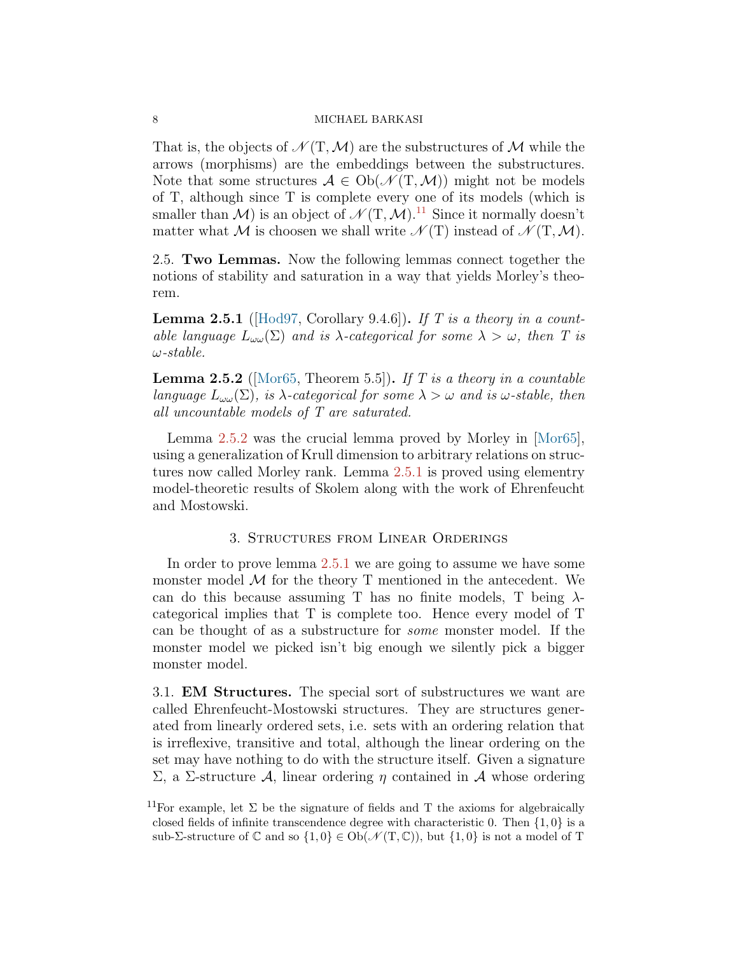That is, the objects of  $\mathcal{N}(T, \mathcal{M})$  are the substructures of  $\mathcal{M}$  while the arrows (morphisms) are the embeddings between the substructures. Note that some structures  $A \in Ob(\mathcal{N}(T, \mathcal{M}))$  might not be models of T, although since T is complete every one of its models (which is smaller than  $\mathcal{M}$ ) is an object of  $\mathcal{N}(T, \mathcal{M})$ .<sup>[11](#page-7-3)</sup> Since it normally doesn't matter what *M* is choosen we shall write  $\mathcal{N}(T)$  instead of  $\mathcal{N}(T,\mathcal{M})$ .

<span id="page-7-0"></span>2.5. **Two Lemmas.** Now the following lemmas connect together the notions of stability and saturation in a way that yields Morley's theorem.

**Lemma 2.5.1** ([\[Hod97](#page-14-2), Corollary 9.4.6])**.** *If T is a theory in a countable language*  $L_{\omega\omega}(\Sigma)$  *and is*  $\lambda$ -categorical for some  $\lambda > \omega$ , then T is *ω-stable.*

**Lemma 2.5.2** ([\[Mor65](#page-14-1), Theorem 5.5])**.** *If T is a theory in a countable language*  $L_{\omega}(\Sigma)$ *, is*  $\lambda$ *-categorical for some*  $\lambda > \omega$  *and is*  $\omega$ *-stable, then all uncountable models of T are saturated.*

Lemma [2.5.2](#page-5-2) was the crucial lemma proved by Morley in[[Mor65\]](#page-14-1), using a generalization of Krull dimension to arbitrary relations on structures now called Morley rank. Lemma [2.5.1](#page-4-2) is proved using elementry model-theoretic results of Skolem along with the work of Ehrenfeucht and Mostowski.

### 3. Structures from Linear Orderings

<span id="page-7-1"></span>In order to prove lemma [2.5.1](#page-4-2) we are going to assume we have some monster model *M* for the theory T mentioned in the antecedent. We can do this because assuming T has no finite models, T being *λ*categorical implies that T is complete too. Hence every model of T can be thought of as a substructure for *some* monster model. If the monster model we picked isn't big enough we silently pick a bigger monster model.

<span id="page-7-2"></span>3.1. **EM Structures.** The special sort of substructures we want are called Ehrenfeucht-Mostowski structures. They are structures generated from linearly ordered sets, i.e. sets with an ordering relation that is irreflexive, transitive and total, although the linear ordering on the set may have nothing to do with the structure itself. Given a signature Σ, a Σ-structure *A*, linear ordering *η* contained in *A* whose ordering

<span id="page-7-3"></span><sup>&</sup>lt;sup>11</sup>For example, let  $\Sigma$  be the signature of fields and T the axioms for algebraically closed fields of infinite transcendence degree with characteristic 0. Then *{*1*,* 0*}* is a sub- $\Sigma$ -structure of  $\mathbb C$  and so  $\{1,0\} \in Ob(\mathcal N(T,\mathbb C))$ , but  $\{1,0\}$  is not a model of T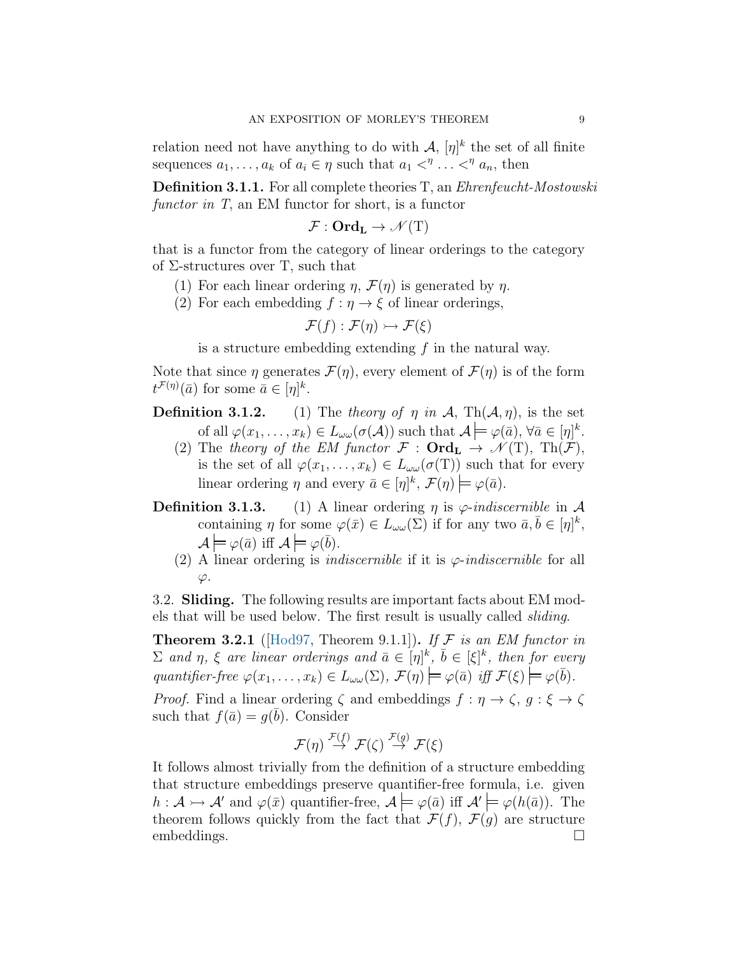relation need not have anything to do with  $\mathcal{A}, [\eta]^k$  the set of all finite sequences  $a_1, \ldots, a_k$  of  $a_i \in \eta$  such that  $a_1 <^{\eta} \ldots <^{\eta} a_n$ , then

<span id="page-8-1"></span>**Definition 3.1.1.** For all complete theories T, an *Ehrenfeucht-Mostowski functor in T*, an EM functor for short, is a functor

$$
\mathcal{F}:\mathbf{Ord}_\mathbf{L}\to\mathscr{N}(\mathrm{T})
$$

that is a functor from the category of linear orderings to the category of  $\Sigma$ -structures over T, such that

- (1) For each linear ordering  $\eta$ ,  $\mathcal{F}(\eta)$  is generated by  $\eta$ .
- (2) For each embedding  $f : \eta \to \xi$  of linear orderings,

$$
\mathcal{F}(f): \mathcal{F}(\eta) \rightarrowtail \mathcal{F}(\xi)
$$

is a structure embedding extending *f* in the natural way.

Note that since  $\eta$  generates  $\mathcal{F}(\eta)$ , every element of  $\mathcal{F}(\eta)$  is of the form  $t^{\mathcal{F}(\eta)}(\bar{a})$  for some  $\bar{a} \in [\eta]^k$ .

- **Definition 3.1.2.** (1) The *theory of*  $\eta$  *in*  $\mathcal{A}$ , Th $(\mathcal{A}, \eta)$ , is the set of all  $\varphi(x_1, \ldots, x_k) \in L_{\omega \omega}(\sigma(\mathcal{A}))$  such that  $\mathcal{A} \models \varphi(\bar{a}), \forall \bar{a} \in [\eta]^k$ .
	- (2) The *theory of the EM functor*  $\mathcal{F}: \textbf{Ord}_{\textbf{L}} \to \mathcal{N}(T)$ , Th $(\mathcal{F})$ , is the set of all  $\varphi(x_1, \ldots, x_k) \in L_{\omega}(\sigma(T))$  such that for every linear ordering  $\eta$  and every  $\bar{a} \in [\eta]^k$ ,  $\mathcal{F}(\eta) \models \varphi(\bar{a})$ .
- **Definition 3.1.3.** (1) A linear ordering  $\eta$  is  $\varphi$ -*indiscernible* in  $\mathcal A$ containing *η* for some  $\varphi(\bar{x}) \in L_{\omega \omega}(\Sigma)$  if for any two  $\bar{a}, \bar{b} \in [\eta]^k$ ,  $\mathcal{A} \models \varphi(\bar{a}) \text{ iff } \mathcal{A} \models \varphi(\bar{b}).$ 
	- (2) A linear ordering is *indiscernible* if it is *φ*-*indiscernible* for all *φ*.

<span id="page-8-0"></span>3.2. **Sliding.** The following results are important facts about EM models that will be used below. The first result is usually called *sliding*.

**Theorem 3.2.1** ( $[\text{Hod97}, \text{Theorem 9.1.1}]\right)$ ). If F is an EM functor in  $\Sigma$  *and*  $\eta$ ,  $\xi$  *are linear orderings and*  $\bar{a} \in [\eta]^k$ ,  $\bar{b} \in [\xi]^k$ , then for every *quantifier-free*  $\varphi(x_1, \ldots, x_k) \in L_{\omega}(\Sigma)$ ,  $\mathcal{F}(\eta) \models \varphi(\bar{a})$  *iff*  $\mathcal{F}(\xi) \models \varphi(\bar{b})$ *.* 

*Proof.* Find a linear ordering  $\zeta$  and embeddings  $f : \eta \to \zeta$ ,  $g : \xi \to \zeta$ such that  $f(\bar{a}) = g(\bar{b})$ . Consider

$$
\mathcal{F}(\eta) \stackrel{\mathcal{F}(f)}{\rightarrow} \mathcal{F}(\zeta) \stackrel{\mathcal{F}(g)}{\rightarrow} \mathcal{F}(\xi)
$$

It follows almost trivially from the definition of a structure embedding that structure embeddings preserve quantifier-free formula, i.e. given  $h: \mathcal{A} \rightarrowtail \mathcal{A}'$  and  $\varphi(\bar{x})$  quantifier-free,  $\mathcal{A} \models \varphi(\bar{a})$  iff  $\mathcal{A}' \models \varphi(h(\bar{a}))$ . The theorem follows quickly from the fact that  $\mathcal{F}(f)$ ,  $\mathcal{F}(g)$  are structure embeddings.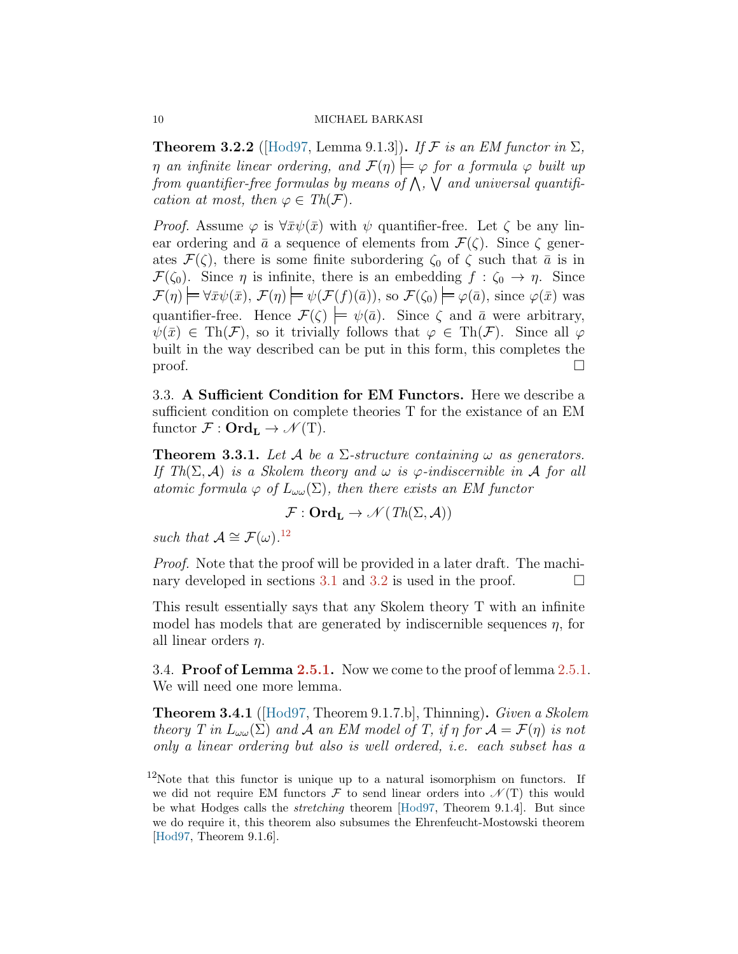<span id="page-9-3"></span>**Theorem 3.2.2** ([\[Hod97](#page-14-2), Lemma 9.1.3]). If  $\mathcal F$  *is an EM functor in*  $\Sigma$ , *η an infinite linear ordering, and*  $\mathcal{F}(\eta) \models \varphi$  *for a formula*  $\varphi$  *built up from quantifier-free formulas by means of* ∧ *,* ∨ *and universal quantification at most, then*  $\varphi \in Th(\mathcal{F})$ *.* 

*Proof.* Assume  $\varphi$  is  $\forall \bar{x}\psi(\bar{x})$  with  $\psi$  quantifier-free. Let  $\zeta$  be any linear ordering and  $\bar{a}$  a sequence of elements from  $\mathcal{F}(\zeta)$ . Since  $\zeta$  generates  $\mathcal{F}(\zeta)$ , there is some finite subordering  $\zeta_0$  of  $\zeta$  such that  $\bar{a}$  is in *F*( $\zeta_0$ ). Since  $\eta$  is infinite, there is an embedding  $f : \zeta_0 \to \eta$ . Since  $\mathcal{F}(\eta) \models \forall \bar{x} \psi(\bar{x}), \mathcal{F}(\eta) \models \psi(\mathcal{F}(f)(\bar{a})),$  so  $\mathcal{F}(\zeta_0) \models \varphi(\bar{a}),$  since  $\varphi(\bar{x})$  was quantifier-free. Hence  $\mathcal{F}(\zeta) \models \psi(\bar{a})$ . Since  $\zeta$  and  $\bar{a}$  were arbitrary,  $\psi(\bar{x}) \in \text{Th}(\mathcal{F})$ , so it trivially follows that  $\varphi \in \text{Th}(\mathcal{F})$ . Since all  $\varphi$ built in the way described can be put in this form, this completes the  $\Box$ 

<span id="page-9-0"></span>3.3. **A Sufficient Condition for EM Functors.** Here we describe a sufficient condition on complete theories T for the existance of an EM functor  $\mathcal{F}: \textbf{Ord}_{\textbf{L}} \to \mathcal{N}(T)$ .

**Theorem 3.3.1.** Let  $\mathcal{A}$  be a  $\Sigma$ -structure containing  $\omega$  as generators. *If Th*( $\Sigma$ ,  $\mathcal{A}$ ) *is a Skolem theory and*  $\omega$  *is*  $\varphi$ *-indiscernible in*  $\mathcal{A}$  *for all atomic formula*  $\varphi$  *of*  $L_{\omega\omega}(\Sigma)$ *, then there exists an EM functor* 

$$
\mathcal{F}: \mathbf{Ord}_{\mathbf{L}} \to \mathscr{N}(\mathit{Th}(\Sigma, \mathcal{A}))
$$

*such that*  $\mathcal{A} \cong \mathcal{F}(\omega)$ .<sup>[12](#page-9-2)</sup>

*Proof.* Note that the proof will be provided in a later draft. The machi-nary developed in sections [3.1](#page-7-2) and [3.2](#page-8-0) is used in the proof.  $\Box$ 

This result essentially says that any Skolem theory T with an infinite model has models that are generated by indiscernible sequences *η*, for all linear orders *η*.

<span id="page-9-1"></span>3.4. **Proof of Lemma [2.5.1.](#page-4-2)** Now we come to the proof of lemma [2.5.1](#page-4-2). We will need one more lemma.

**Theorem 3.4.1** ([[Hod97,](#page-14-2) Theorem 9.1.7.b], Thinning)**.** *Given a Skolem theory T* in  $L_{\omega}(\Sigma)$  and *A* an *EM* model of *T*, if *η* for  $A = \mathcal{F}(\eta)$  is not *only a linear ordering but also is well ordered, i.e. each subset has a*

<span id="page-9-2"></span> $12$ Note that this functor is unique up to a natural isomorphism on functors. If we did not require EM functors  $\mathcal F$  to send linear orders into  $\mathcal N(T)$  this would be what Hodges calls the *stretching* theorem [[Hod97,](#page-14-2) Theorem 9.1.4]. But since we do require it, this theorem also subsumes the Ehrenfeucht-Mostowski theorem [\[Hod97,](#page-14-2) Theorem 9.1.6].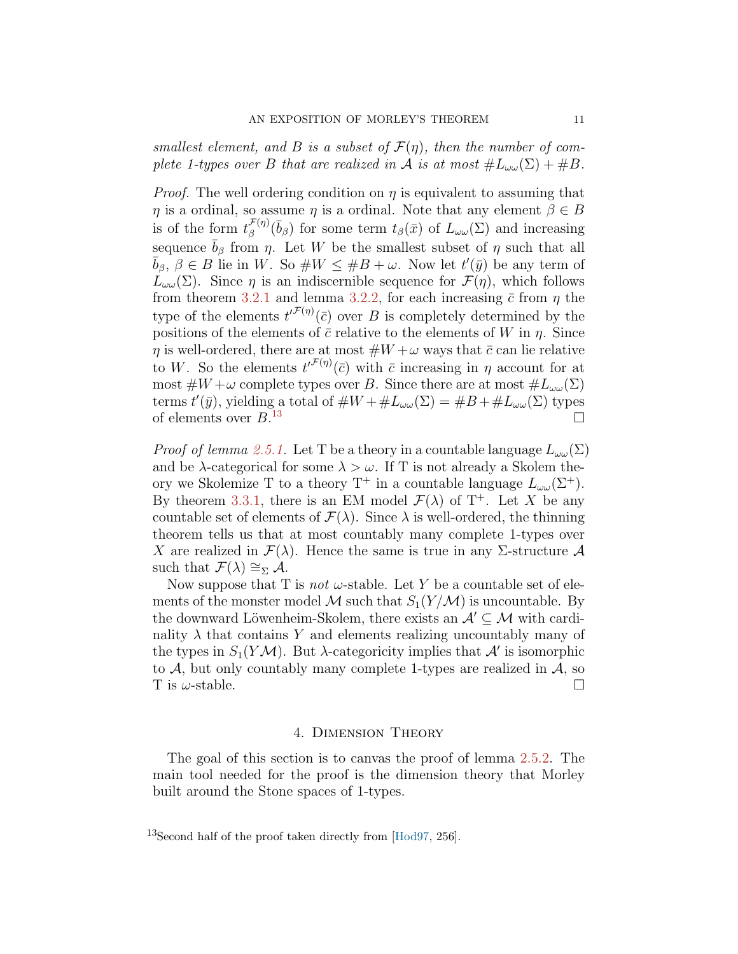*smallest element, and B is a subset of*  $\mathcal{F}(\eta)$ *, then the number of complete 1-types over B that are realized in A is at most*  $\#L_{\omega\omega}(\Sigma) + \#B$ .

*Proof.* The well ordering condition on  $\eta$  is equivalent to assuming that *η* is a ordinal, so assume *η* is a ordinal. Note that any element  $\beta \in B$ is of the form  $t_{\beta}^{\mathcal{F}(\eta)}(\bar{b}_{\beta})$  for some term  $t_{\beta}(\bar{x})$  of  $L_{\omega\omega}(\Sigma)$  and increasing sequence  $\bar{b}_{\beta}$  from  $\eta$ . Let *W* be the smallest subset of  $\eta$  such that all  $\overline{b}_{\beta}$ ,  $\beta \in B$  lie in W. So  $\#W \leq \#B + \omega$ . Now let  $t'(\overline{y})$  be any term of *L*<sub>ωω</sub>(Σ). Since *η* is an indiscernible sequence for  $\mathcal{F}(\eta)$ , which follows from theorem [3.2.1](#page-8-1) and lemma [3.2.2,](#page-9-3) for each increasing  $\bar{c}$  from  $\eta$  the type of the elements  $t'^{F(\eta)}(\bar{c})$  over *B* is completely determined by the positions of the elements of  $\bar{c}$  relative to the elements of *W* in *η*. Since *η* is well-ordered, there are at most  $#W + \omega$  ways that  $\bar{c}$  can lie relative to *W*. So the elements  $t^{\prime \mathcal{F}(\eta)}(\bar{c})$  with  $\bar{c}$  increasing in  $\eta$  account for at most  $\#W + \omega$  complete types over *B*. Since there are at most  $\#L_{\omega\omega}(\Sigma)$ terms  $t'(\bar{y})$ , yielding a total of  $\#W + \#L_{\omega\omega}(\Sigma) = \#B + \#L_{\omega\omega}(\Sigma)$  types of elements over *B*.  $\Box$ 

*Proof of lemma [2.5.1.](#page-4-2)* Let T be a theory in a countable language  $L_{\omega \omega}(\Sigma)$ and be  $\lambda$ -categorical for some  $\lambda > \omega$ . If T is not already a Skolem theory we Skolemize T to a theory  $T^+$  in a countable language  $L_{\omega\omega}(\Sigma^+)$ . By theorem [3.3.1](#page-8-1), there is an EM model  $\mathcal{F}(\lambda)$  of T<sup>+</sup>. Let *X* be any countable set of elements of  $\mathcal{F}(\lambda)$ . Since  $\lambda$  is well-ordered, the thinning theorem tells us that at most countably many complete 1-types over *X* are realized in  $\mathcal{F}(\lambda)$ . Hence the same is true in any Σ-structure  $\mathcal A$ such that  $\mathcal{F}(\lambda) \cong_{\Sigma} \mathcal{A}$ .

Now suppose that T is *not*  $\omega$ -stable. Let Y be a countable set of elements of the monster model M such that  $S_1(Y/M)$  is uncountable. By the downward Löwenheim-Skolem, there exists an  $A' \subseteq M$  with cardinality  $\lambda$  that contains Y and elements realizing uncountably many of the types in  $S_1(Y \mathcal{M})$ . But  $\lambda$ -categoricity implies that  $\mathcal{A}'$  is isomorphic to  $A$ , but only countably many complete 1-types are realized in  $A$ , so T is  $\omega$ -stable.

#### 4. Dimension Theory

<span id="page-10-0"></span>The goal of this section is to canvas the proof of lemma [2.5.2.](#page-5-2) The main tool needed for the proof is the dimension theory that Morley built around the Stone spaces of 1-types.

<span id="page-10-1"></span><sup>13</sup>Second half of the proof taken directly from [[Hod97](#page-14-2), 256].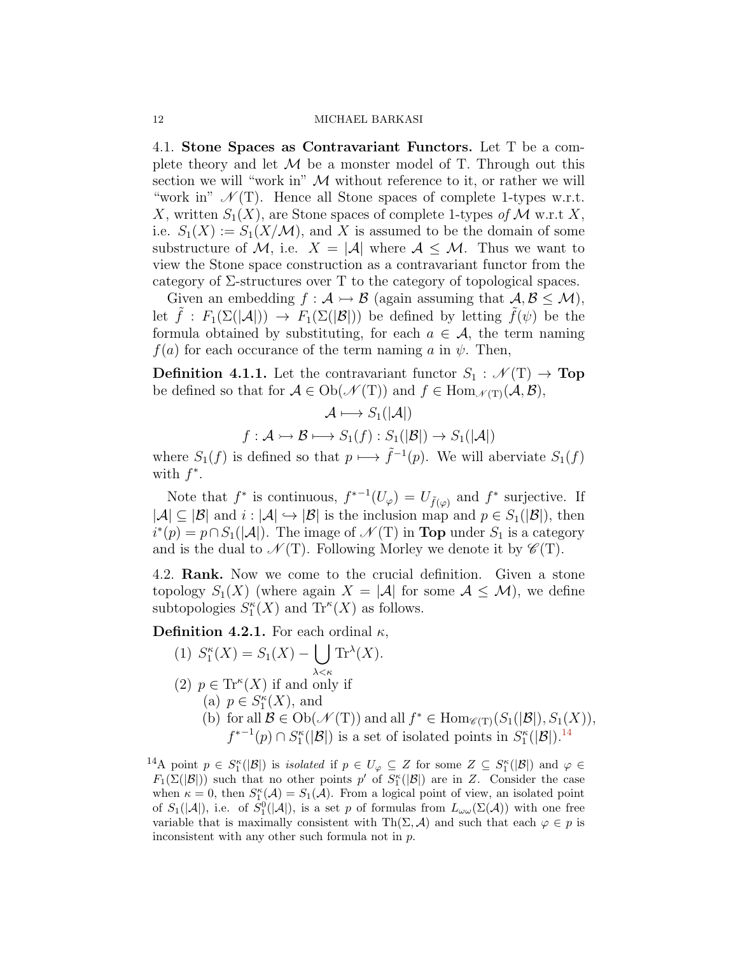<span id="page-11-0"></span>4.1. **Stone Spaces as Contravariant Functors.** Let T be a complete theory and let  $M$  be a monster model of T. Through out this section we will "work in" *M* without reference to it, or rather we will "work in"  $\mathcal{N}(T)$ . Hence all Stone spaces of complete 1-types w.r.t. *X*, written  $S_1(X)$ , are Stone spaces of complete 1-types of *M* w.r.t *X*, i.e.  $S_1(X) := S_1(X/M)$ , and X is assumed to be the domain of some substructure of M, i.e.  $X = |\mathcal{A}|$  where  $\mathcal{A} \leq \mathcal{M}$ . Thus we want to view the Stone space construction as a contravariant functor from the category of  $\Sigma$ -structures over T to the category of topological spaces.

Given an embedding  $f : \mathcal{A} \rightarrow \mathcal{B}$  (again assuming that  $\mathcal{A}, \mathcal{B} \leq \mathcal{M}$ ), let  $\tilde{f}: F_1(\Sigma(|\mathcal{A}|)) \to F_1(\Sigma(|\mathcal{B}|))$  be defined by letting  $\tilde{f}(\psi)$  be the formula obtained by substituting, for each  $a \in \mathcal{A}$ , the term naming  $f(a)$  for each occurance of the term naming *a* in  $\psi$ . Then,

<span id="page-11-3"></span>**Definition 4.1.1.** Let the contravariant functor  $S_1 : \mathcal{N}(T) \to \textbf{Top}$ be defined so that for  $A \in Ob(\mathcal{N}(T))$  and  $f \in Hom_{\mathcal{N}(T)}(\mathcal{A}, \mathcal{B})$ ,

$$
\mathcal{A} \longmapsto S_1(|\mathcal{A}|)
$$

$$
f: \mathcal{A} \rightarrowtail \mathcal{B} \longmapsto S_1(f): S_1(|\mathcal{B}|) \rightarrow S_1(|\mathcal{A}|)
$$

where  $S_1(f)$  is defined so that  $p \mapsto \tilde{f}^{-1}(p)$ . We will aberviate  $S_1(f)$ with  $f^*$ .

Note that  $f^*$  is continuous,  $f^{*-1}(U_{\varphi}) = U_{\tilde{f}(\varphi)}$  and  $f^*$  surjective. If *|A|* ⊆ |*B*| and *i* : |*A*|  $\hookrightarrow$  |*B*| is the inclusion map and  $p \in S_1(|B|)$ , then  $i^*(p) = p \cap S_1(|A|)$ . The image of  $\mathcal{N}(T)$  in **Top** under  $S_1$  is a category and is the dual to  $\mathcal{N}(T)$ . Following Morley we denote it by  $\mathcal{C}(T)$ .

<span id="page-11-1"></span>4.2. **Rank.** Now we come to the crucial definition. Given a stone topology  $S_1(X)$  (where again  $X = |\mathcal{A}|$  for some  $\mathcal{A} \leq \mathcal{M}$ ), we define subtopologies  $S_1^{\kappa}(X)$  and  $Tr^{\kappa}(X)$  as follows.

**Definition 4.2.1.** For each ordinal  $\kappa$ ,

(1) 
$$
S_1^{\kappa}(X) = S_1(X) - \bigcup_{\lambda < \kappa} \text{Tr}^{\lambda}(X).
$$

- (2)  $p \in \text{Tr}^{\kappa}(X)$  if and only if
	- (a)  $p \in S_1^{\kappa}(X)$ , and
	- (b) for all  $\mathcal{B} \in \mathrm{Ob}(\mathcal{N}(T))$  and all  $f^* \in \mathrm{Hom}_{\mathcal{C}(T)}(S_1(|\mathcal{B}|), S_1(X)),$  $f^{*-1}(p) \cap S_1^{\kappa}(|B|)$  is a set of isolated points in  $S_1^{\kappa}(|B|)$ .<sup>[14](#page-11-2)</sup>

<span id="page-11-2"></span> $1^4$ A point  $p \in S_1^{\kappa}(|\mathcal{B}|)$  is *isolated* if  $p \in U_{\varphi} \subseteq Z$  for some  $Z \subseteq S_1^{\kappa}(|\mathcal{B}|)$  and  $\varphi \in Z$ *F*<sub>1</sub>( $\Sigma$ ( $|\mathcal{B}|$ )) such that no other points *p*<sup>'</sup> of  $S_1^{\kappa}$ ( $|\mathcal{B}|$ ) are in *Z*. Consider the case when  $\kappa = 0$ , then  $S_1^{\kappa}(\mathcal{A}) = S_1(\mathcal{A})$ . From a logical point of view, an isolated point of  $S_1(|A|)$ , i.e. of  $S_1^0(|A|)$ , is a set *p* of formulas from  $L_{\omega\omega}(\Sigma(A))$  with one free variable that is maximally consistent with Th( $\Sigma$ ,  $\mathcal{A}$ ) and such that each  $\varphi \in p$  is inconsistent with any other such formula not in *p*.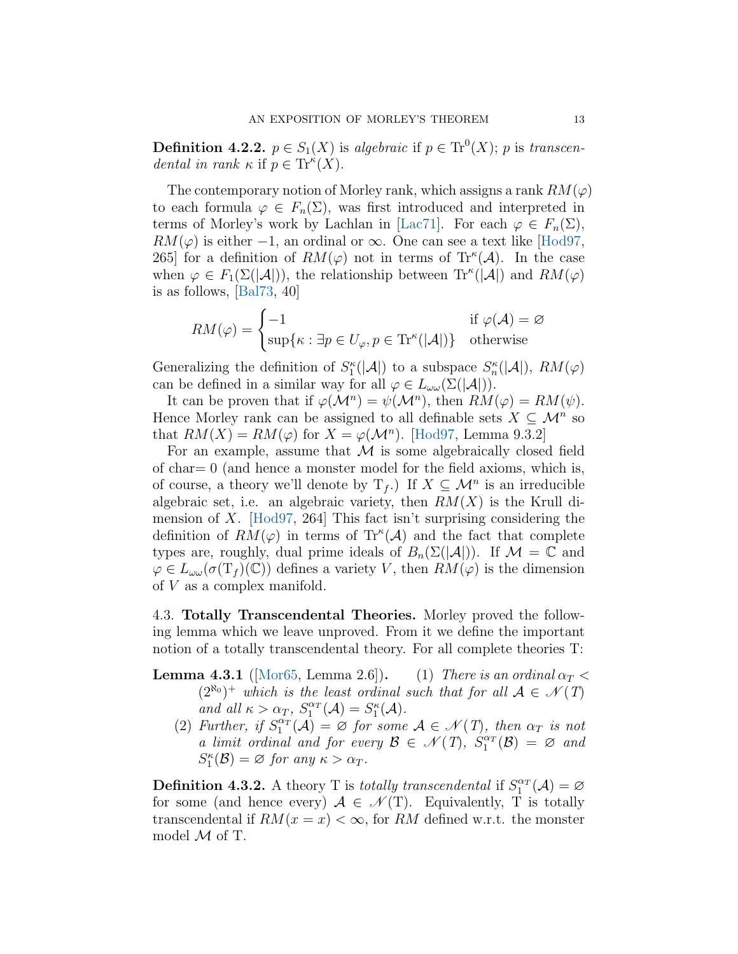<span id="page-12-1"></span>**Definition 4.2.2.**  $p \in S_1(X)$  is algebraic if  $p \in \text{Tr}^0(X)$ ; *p* is *transcendental in rank*  $\kappa$  if  $p \in \text{Tr}^{\kappa}(X)$ .

The contemporary notion of Morley rank, which assigns a rank  $RM(\varphi)$ to each formula  $\varphi \in F_n(\Sigma)$ , was first introduced and interpreted in terms of Morley's work by Lachlan in [\[Lac71](#page-14-4)]. For each  $\varphi \in F_n(\Sigma)$ ,  $RM(\varphi)$ is either *−*1, an ordinal or  $\infty$ . One can see a text like [[Hod97](#page-14-2), 265] for a definition of  $RM(\varphi)$  not in terms of  $Tr^{\kappa}(\mathcal{A})$ . In the case when  $\varphi \in F_1(\Sigma(|\mathcal{A}|))$ , the relationship between  $\text{Tr}^{\kappa}(|\mathcal{A}|)$  and  $RM(\varphi)$ is as follows,[[Bal73,](#page-13-2) 40]

$$
RM(\varphi) = \begin{cases} -1 & \text{if } \varphi(\mathcal{A}) = \varnothing \\ \sup\{\kappa : \exists p \in U_{\varphi}, p \in \text{Tr}^{\kappa}(|\mathcal{A}|)\} & \text{otherwise} \end{cases}
$$

Generalizing the definition of  $S_1^{\kappa}(|A|)$  to a subspace  $S_n^{\kappa}(|A|)$ ,  $RM(\varphi)$ can be defined in a similar way for all  $\varphi \in L_{\omega}(\Sigma(|\mathcal{A}|)).$ 

It can be proven that if  $\varphi(\mathcal{M}^n) = \psi(\mathcal{M}^n)$ , then  $RM(\varphi) = RM(\psi)$ . Hence Morley rank can be assigned to all definable sets  $X \subseteq \mathcal{M}^n$  so that  $RM(X) = RM(\varphi)$  for  $X = \varphi(\mathcal{M}^n)$ . [\[Hod97](#page-14-2), Lemma 9.3.2]

For an example, assume that *M* is some algebraically closed field of char  $= 0$  (and hence a monster model for the field axioms, which is, of course, a theory we'll denote by  $T_f$ .) If  $X \subseteq \mathcal{M}^n$  is an irreducible algebraic set, i.e. an algebraic variety, then  $RM(X)$  is the Krull dimension of *X*.[[Hod97](#page-14-2), 264] This fact isn't surprising considering the definition of  $RM(\varphi)$  in terms of  $Tr^{\kappa}(\mathcal{A})$  and the fact that complete types are, roughly, dual prime ideals of  $B_n(\Sigma(|\mathcal{A}|))$ . If  $\mathcal{M} = \mathbb{C}$  and  $\varphi \in L_{\omega \omega}(\sigma(\mathrm{T}_f)(\mathbb{C}))$  defines a variety *V*, then  $RM(\varphi)$  is the dimension of *V* as a complex manifold.

<span id="page-12-0"></span>4.3. **Totally Transcendental Theories.** Morley proved the following lemma which we leave unproved. From it we define the important notion of a totally transcendental theory. For all complete theories T:

**Lemma 4.3.1** ([\[Mor65](#page-14-1), Lemma 2.6]). (1) *There is an ordinal*  $\alpha_T$  <  $(2^{\aleph_0})^+$  *which is the least ordinal such that for all*  $\mathcal{A} \in \mathcal{N}(T)$  $\alpha$ *nd*  $all \ \kappa > \alpha_T$ ,  $S_1^{\alpha_T}(\mathcal{A}) = S_1^{\kappa}(\mathcal{A})$ .

(2) *Further, if*  $S_1^{\alpha_T}(\mathcal{A}) = \emptyset$  *for some*  $\mathcal{A} \in \mathcal{N}(T)$ *, then*  $\alpha_T$  *is not a limit ordinal and for every*  $\mathcal{B} \in \mathcal{N}(T)$ ,  $S_1^{\alpha_T}(\mathcal{B}) = \emptyset$  and  $S_1^{\kappa}(\mathcal{B}) = \varnothing$  *for any*  $\kappa > \alpha_T$ *.* 

**Definition 4.3.2.** A theory T is *totally transcendental* if  $S_1^{\alpha T}(\mathcal{A}) = \emptyset$ for some (and hence every)  $A \in \mathcal{N}(T)$ . Equivalently, T is totally transcendental if  $RM(x = x) < \infty$ , for RM defined w.r.t. the monster model *M* of T.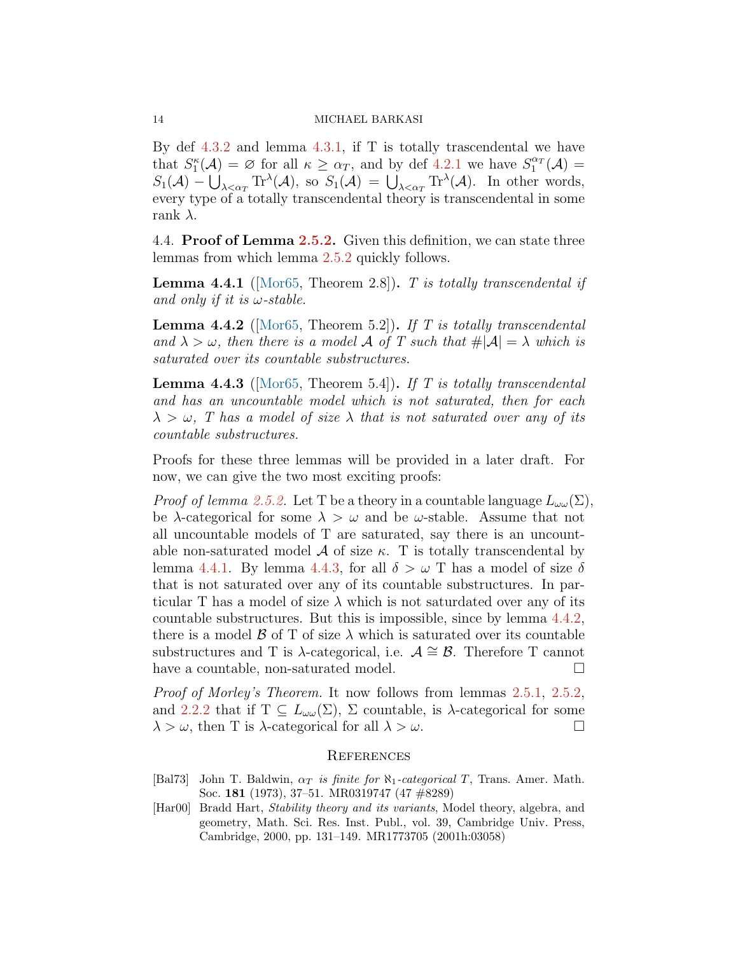By def  $4.3.2$  and lemma  $4.3.1$ , if T is totally trascendental we have that  $S_1^{\kappa}(\mathcal{A}) = \emptyset$  for all  $\kappa \geq \alpha_T$ , and by def [4.2.1](#page-11-3) we have  $S_1^{\alpha_T}(\mathcal{A}) =$  $S_1(\mathcal{A}) - \bigcup_{\lambda \leq \alpha_T} \text{Tr}^{\lambda}(\mathcal{A}),$  so  $S_1(\mathcal{A}) = \bigcup_{\lambda \leq \alpha_T} \text{Tr}^{\lambda}(\mathcal{A}).$  In other words, every type of a totally transcendental theory is transcendental in some rank *λ*.

<span id="page-13-0"></span>4.4. **Proof of Lemma [2.5.2](#page-5-2).** Given this definition, we can state three lemmas from which lemma [2.5.2](#page-5-2) quickly follows.

**Lemma 4.4.1** ([\[Mor65](#page-14-1), Theorem 2.8])**.** *T is totally transcendental if and only if it is ω-stable.*

**Lemma 4.4.2** ([\[Mor65](#page-14-1), Theorem 5.2])**.** *If T is totally transcendental and*  $\lambda > \omega$ , then there is a model A of T such that  $\#\mathcal{A} = \lambda$  which is *saturated over its countable substructures.*

<span id="page-13-3"></span>**Lemma 4.4.3** ([\[Mor65](#page-14-1), Theorem 5.4])**.** *If T is totally transcendental and has an uncountable model which is not saturated, then for each*  $\lambda > \omega$ , *T* has a model of size  $\lambda$  that is not saturated over any of its *countable substructures.*

Proofs for these three lemmas will be provided in a later draft. For now, we can give the two most exciting proofs:

*Proof of lemma [2.5.2.](#page-5-2)* Let T be a theory in a countable language  $L_{\omega\omega}(\Sigma)$ , be *λ*-categorical for some  $\lambda > \omega$  and be  $\omega$ -stable. Assume that not all uncountable models of T are saturated, say there is an uncountable non-saturated model  $\mathcal A$  of size  $\kappa$ . T is totally transcendental by lemma [4.4.1](#page-11-3). By lemma [4.4.3,](#page-13-3) for all  $\delta > \omega$  T has a model of size  $\delta$ that is not saturated over any of its countable substructures. In particular T has a model of size  $\lambda$  which is not saturdated over any of its countable substructures. But this is impossible, since by lemma [4.4.2](#page-12-1), there is a model  $\beta$  of T of size  $\lambda$  which is saturated over its countable substructures and T is  $\lambda$ -categorical, i.e.  $\mathcal{A} \cong \mathcal{B}$ . Therefore T cannot have a countable, non-saturated model.  $\Box$ 

*Proof of Morley's Theorem.* It now follows from lemmas [2.5.1](#page-4-2), [2.5.2](#page-5-2), and [2.2.2](#page-5-2) that if  $T \subseteq L_{\omega \omega}(\Sigma)$ ,  $\Sigma$  countable, is  $\lambda$ -categorical for some  $\lambda > \omega$ , then T is  $\lambda$ -categorical for all  $\lambda > \omega$ .

#### **REFERENCES**

- <span id="page-13-2"></span><span id="page-13-1"></span>[Bal73] John T. Baldwin, *α<sup>T</sup> is finite for ℵ*1*-categorical T*, Trans. Amer. Math. Soc. **181** (1973), 37–51. MR0319747 (47 #8289)
- [Har00] Bradd Hart, *Stability theory and its variants*, Model theory, algebra, and geometry, Math. Sci. Res. Inst. Publ., vol. 39, Cambridge Univ. Press, Cambridge, 2000, pp. 131–149. MR1773705 (2001h:03058)